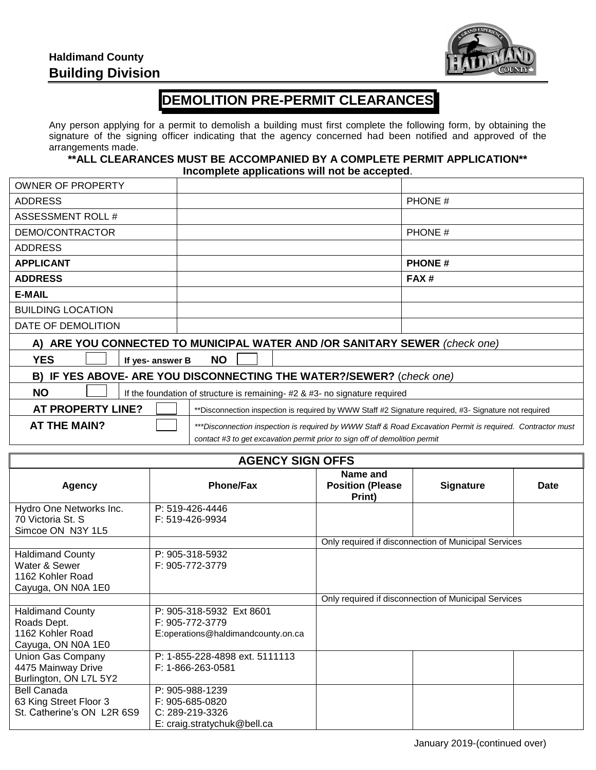## **Haldimand County Building Division**



## **DEMOLITION PRE-PERMIT CLEARANCES**

Any person applying for a permit to demolish a building must first complete the following form, by obtaining the signature of the signing officer indicating that the agency concerned had been notified and approved of the arrangements made.

**\*\*ALL CLEARANCES MUST BE ACCOMPANIED BY A COMPLETE PERMIT APPLICATION\*\* Incomplete applications will not be accepted**.

| <b>OWNER OF PROPERTY</b>                                                                                                          |  |               |  |  |
|-----------------------------------------------------------------------------------------------------------------------------------|--|---------------|--|--|
| <b>ADDRESS</b>                                                                                                                    |  | PHONE #       |  |  |
| ASSESSMENT ROLL #                                                                                                                 |  |               |  |  |
| DEMO/CONTRACTOR                                                                                                                   |  | PHONE #       |  |  |
| <b>ADDRESS</b>                                                                                                                    |  |               |  |  |
| <b>APPLICANT</b>                                                                                                                  |  | <b>PHONE#</b> |  |  |
| <b>ADDRESS</b>                                                                                                                    |  | FAX#          |  |  |
| <b>E-MAIL</b>                                                                                                                     |  |               |  |  |
| <b>BUILDING LOCATION</b>                                                                                                          |  |               |  |  |
| DATE OF DEMOLITION                                                                                                                |  |               |  |  |
| A) ARE YOU CONNECTED TO MUNICIPAL WATER AND /OR SANITARY SEWER (check one)                                                        |  |               |  |  |
| <b>YES</b><br><b>NO</b><br>If yes- answer B                                                                                       |  |               |  |  |
| B) IF YES ABOVE- ARE YOU DISCONNECTING THE WATER?/SEWER? (check one)                                                              |  |               |  |  |
| <b>NO</b><br>If the foundation of structure is remaining- #2 & #3- no signature required                                          |  |               |  |  |
| <b>AT PROPERTY LINE?</b><br>**Disconnection inspection is required by WWW Staff #2 Signature required, #3- Signature not required |  |               |  |  |
| <b>AT THE MAIN?</b><br>***Disconnection inspection is required by WWW Staff & Road Excavation Permit is required. Contractor must |  |               |  |  |
| contact #3 to get excavation permit prior to sign off of demolition permit                                                        |  |               |  |  |

| <b>AGENCY SIGN OFFS</b>                                                            |                                                                                      |                                                      |                                                      |             |  |
|------------------------------------------------------------------------------------|--------------------------------------------------------------------------------------|------------------------------------------------------|------------------------------------------------------|-------------|--|
| <b>Agency</b>                                                                      | <b>Phone/Fax</b>                                                                     | Name and<br><b>Position (Please</b><br>Print)        | <b>Signature</b>                                     | <b>Date</b> |  |
| Hydro One Networks Inc.<br>70 Victoria St. S<br>Simcoe ON N3Y 1L5                  | P: 519-426-4446<br>F: 519-426-9934                                                   |                                                      |                                                      |             |  |
|                                                                                    |                                                                                      | Only required if disconnection of Municipal Services |                                                      |             |  |
| <b>Haldimand County</b><br>Water & Sewer<br>1162 Kohler Road<br>Cayuga, ON N0A 1E0 | P: 905-318-5932<br>F: 905-772-3779                                                   |                                                      |                                                      |             |  |
|                                                                                    |                                                                                      |                                                      | Only required if disconnection of Municipal Services |             |  |
| <b>Haldimand County</b><br>Roads Dept.<br>1162 Kohler Road<br>Cayuga, ON N0A 1E0   | P: 905-318-5932 Ext 8601<br>F: 905-772-3779<br>E:operations@haldimandcounty.on.ca    |                                                      |                                                      |             |  |
| Union Gas Company<br>4475 Mainway Drive<br>Burlington, ON L7L 5Y2                  | P: 1-855-228-4898 ext. 5111113<br>F: 1-866-263-0581                                  |                                                      |                                                      |             |  |
| <b>Bell Canada</b><br>63 King Street Floor 3<br>St. Catherine's ON L2R 6S9         | P: 905-988-1239<br>F: 905-685-0820<br>C: 289-219-3326<br>E: craig.stratychuk@bell.ca |                                                      |                                                      |             |  |